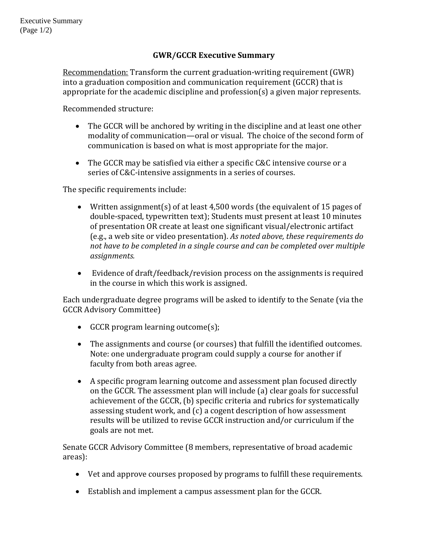# **GWR/GCCR Executive Summary**

Recommendation: Transform the current graduation-writing requirement (GWR) into a graduation composition and communication requirement (GCCR) that is appropriate for the academic discipline and profession(s) a given major represents.

Recommended structure:

- The GCCR will be anchored by writing in the discipline and at least one other modality of communication—oral or visual. The choice of the second form of communication is based on what is most appropriate for the major.
- The GCCR may be satisfied via either a specific C&C intensive course or a series of C&C-intensive assignments in a series of courses.

The specific requirements include:

- Written assignment(s) of at least 4,500 words (the equivalent of 15 pages of double-spaced, typewritten text); Students must present at least 10 minutes of presentation OR create at least one significant visual/electronic artifact (e.g., a web site or video presentation). *As noted above, these requirements do not have to be completed in a single course and can be completed over multiple assignments.*
- Evidence of draft/feedback/revision process on the assignments is required in the course in which this work is assigned.

Each undergraduate degree programs will be asked to identify to the Senate (via the GCCR Advisory Committee)

- GCCR program learning outcome(s);
- The assignments and course (or courses) that fulfill the identified outcomes. Note: one undergraduate program could supply a course for another if faculty from both areas agree.
- A specific program learning outcome and assessment plan focused directly on the GCCR. The assessment plan will include (a) clear goals for successful achievement of the GCCR, (b) specific criteria and rubrics for systematically assessing student work, and (c) a cogent description of how assessment results will be utilized to revise GCCR instruction and/or curriculum if the goals are not met.

Senate GCCR Advisory Committee (8 members, representative of broad academic areas):

- Vet and approve courses proposed by programs to fulfill these requirements.
- Establish and implement a campus assessment plan for the GCCR.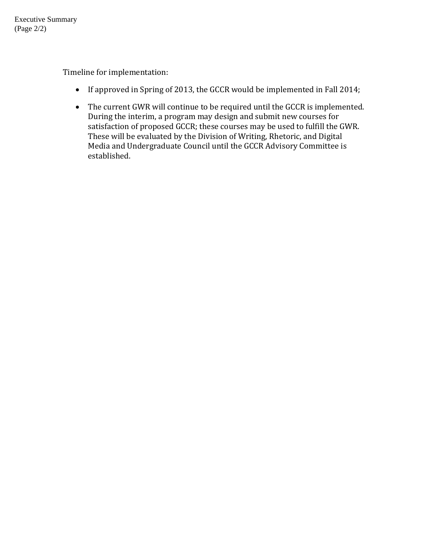Timeline for implementation:

- If approved in Spring of 2013, the GCCR would be implemented in Fall 2014;
- The current GWR will continue to be required until the GCCR is implemented. During the interim, a program may design and submit new courses for satisfaction of proposed GCCR; these courses may be used to fulfill the GWR. These will be evaluated by the Division of Writing, Rhetoric, and Digital Media and Undergraduate Council until the GCCR Advisory Committee is established.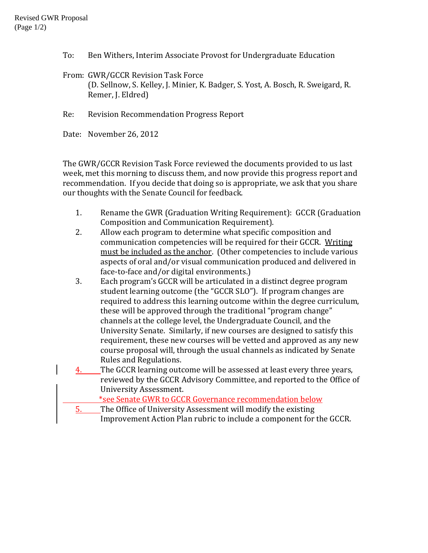To: Ben Withers, Interim Associate Provost for Undergraduate Education

From: GWR/GCCR Revision Task Force (D. Sellnow, S. Kelley, J. Minier, K. Badger, S. Yost, A. Bosch, R. Sweigard, R. Remer, J. Eldred)

Re: Revision Recommendation Progress Report

Date: November 26, 2012

The GWR/GCCR Revision Task Force reviewed the documents provided to us last week, met this morning to discuss them, and now provide this progress report and recommendation. If you decide that doing so is appropriate, we ask that you share our thoughts with the Senate Council for feedback.

- 1. Rename the GWR (Graduation Writing Requirement): GCCR (Graduation Composition and Communication Requirement).
- 2. Allow each program to determine what specific composition and communication competencies will be required for their GCCR. Writing must be included as the anchor. (Other competencies to include various aspects of oral and/or visual communication produced and delivered in face-to-face and/or digital environments.)
- 3. Each program's GCCR will be articulated in a distinct degree program student learning outcome (the "GCCR SLO"). If program changes are required to address this learning outcome within the degree curriculum, these will be approved through the traditional "program change" channels at the college level, the Undergraduate Council, and the University Senate. Similarly, if new courses are designed to satisfy this requirement, these new courses will be vetted and approved as any new course proposal will, through the usual channels as indicated by Senate Rules and Regulations.
- 4. The GCCR learning outcome will be assessed at least every three years, reviewed by the GCCR Advisory Committee, and reported to the Office of University Assessment.

\*see Senate GWR to GCCR Governance recommendation below

5. The Office of University Assessment will modify the existing Improvement Action Plan rubric to include a component for the GCCR.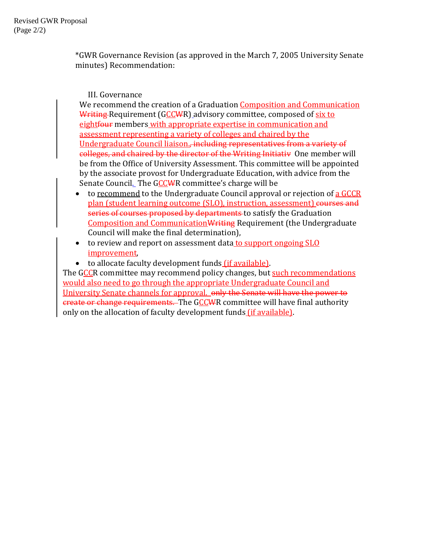\*GWR Governance Revision (as approved in the March 7, 2005 University Senate minutes) Recommendation:

## III. Governance

We recommend the creation of a Graduation Composition and Communication Writing Requirement (GCCWR) advisory committee, composed of six to eightfour members with appropriate expertise in communication and assessment representing a variety of colleges and chaired by the Undergraduate Council liaison., including representatives from a variety of colleges, and chaired by the director of the Writing Initiativ One member will be from the Office of University Assessment. This committee will be appointed by the associate provost for Undergraduate Education, with advice from the Senate Council. The GCCWR committee's charge will be

- to recommend to the Undergraduate Council approval or rejection of a GCCR plan (student learning outcome (SLO), instruction, assessment) courses and series of courses proposed by departments to satisfy the Graduation Composition and CommunicationWriting Requirement (the Undergraduate Council will make the final determination),
- to review and report on assessment data to support ongoing SLO improvement,
- to allocate faculty development funds *(if available)*.

The GCCR committee may recommend policy changes, but such recommendations would also need to go through the appropriate Undergraduate Council and University Senate channels for approval. only the Senate will have the power to create or change requirements. The GCCWR committee will have final authority only on the allocation of faculty development funds *(if available)*.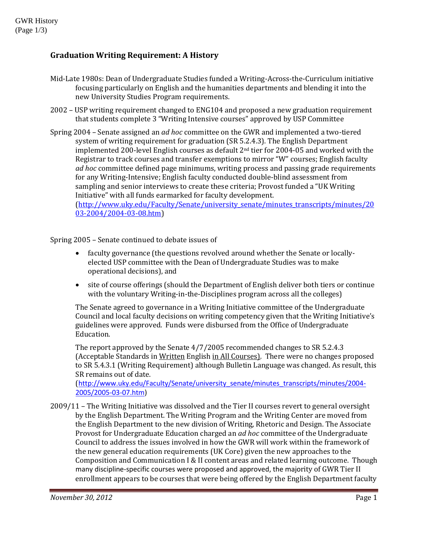# **Graduation Writing Requirement: A History**

- Mid-Late 1980s: Dean of Undergraduate Studies funded a Writing-Across-the-Curriculum initiative focusing particularly on English and the humanities departments and blending it into the new University Studies Program requirements.
- 2002 USP writing requirement changed to ENG104 and proposed a new graduation requirement that students complete 3 "Writing Intensive courses" approved by USP Committee
- Spring 2004 Senate assigned an *ad hoc* committee on the GWR and implemented a two-tiered system of writing requirement for graduation (SR 5.2.4.3). The English Department implemented 200-level English courses as default 2nd tier for 2004-05 and worked with the Registrar to track courses and transfer exemptions to mirror "W" courses; English faculty *ad hoc* committee defined page minimums, writing process and passing grade requirements for any Writing-Intensive; English faculty conducted double-blind assessment from sampling and senior interviews to create these criteria; Provost funded a "UK Writing Initiative" with all funds earmarked for faculty development.

[\(http://www.uky.edu/Faculty/Senate/university\\_senate/minutes\\_transcripts/minutes/20](http://www.uky.edu/Faculty/Senate/university_senate/minutes_transcripts/minutes/2003-2004/2004-03-08.htm) [03-2004/2004-03-08.htm\)](http://www.uky.edu/Faculty/Senate/university_senate/minutes_transcripts/minutes/2003-2004/2004-03-08.htm)

Spring 2005 – Senate continued to debate issues of

- faculty governance (the questions revolved around whether the Senate or locallyelected USP committee with the Dean of Undergraduate Studies was to make operational decisions), and
- site of course offerings (should the Department of English deliver both tiers or continue with the voluntary Writing-in-the-Disciplines program across all the colleges)

The Senate agreed to governance in a Writing Initiative committee of the Undergraduate Council and local faculty decisions on writing competency given that the Writing Initiative's guidelines were approved. Funds were disbursed from the Office of Undergraduate Education.

The report approved by the Senate 4/7/2005 recommended changes to SR 5.2.4.3 (Acceptable Standards in Written English in All Courses). There were no changes proposed to SR 5.4.3.1 (Writing Requirement) although Bulletin Language was changed. As result, this SR remains out of date.

([http://www.uky.edu/Faculty/Senate/university\\_senate/minutes\\_transcripts/minutes/2004-](http://www.uky.edu/Faculty/Senate/university_senate/minutes_transcripts/minutes/2004-2005/2005-03-07.htm) [2005/2005-03-07.htm\)](http://www.uky.edu/Faculty/Senate/university_senate/minutes_transcripts/minutes/2004-2005/2005-03-07.htm)

2009/11 – The Writing Initiative was dissolved and the Tier II courses revert to general oversight by the English Department. The Writing Program and the Writing Center are moved from the English Department to the new division of Writing, Rhetoric and Design. The Associate Provost for Undergraduate Education charged an *ad hoc* committee of the Undergraduate Council to address the issues involved in how the GWR will work within the framework of the new general education requirements (UK Core) given the new approaches to the Composition and Communication I & II content areas and related learning outcome. Though many discipline-specific courses were proposed and approved, the majority of GWR Tier II enrollment appears to be courses that were being offered by the English Department faculty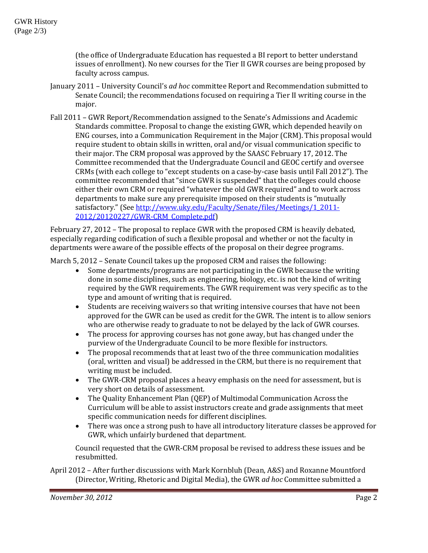(the office of Undergraduate Education has requested a BI report to better understand issues of enrollment). No new courses for the Tier II GWR courses are being proposed by faculty across campus.

- January 2011 University Council's *ad hoc* committee Report and Recommendation submitted to Senate Council; the recommendations focused on requiring a Tier II writing course in the major.
- Fall 2011 GWR Report/Recommendation assigned to the Senate's Admissions and Academic Standards committee. Proposal to change the existing GWR, which depended heavily on ENG courses, into a Communication Requirement in the Major (CRM). This proposal would require student to obtain skills in written, oral and/or visual communication specific to their major. The CRM proposal was approved by the SAASC February 17, 2012. The Committee recommended that the Undergraduate Council and GEOC certify and oversee CRMs (with each college to "except students on a case-by-case basis until Fall 2012"). The committee recommended that "since GWR is suspended" that the colleges could choose either their own CRM or required "whatever the old GWR required" and to work across departments to make sure any prerequisite imposed on their students is "mutually satisfactory." (Se[e http://www.uky.edu/Faculty/Senate/files/Meetings/1\\_2011-](http://www.uky.edu/Faculty/Senate/files/Meetings/1_2011-2012/20120227/GWR-CRM_Complete.pdf) [2012/20120227/GWR-CRM\\_Complete.pdf\)](http://www.uky.edu/Faculty/Senate/files/Meetings/1_2011-2012/20120227/GWR-CRM_Complete.pdf)

February 27, 2012 – The proposal to replace GWR with the proposed CRM is heavily debated, especially regarding codification of such a flexible proposal and whether or not the faculty in departments were aware of the possible effects of the proposal on their degree programs.

March 5, 2012 – Senate Council takes up the proposed CRM and raises the following:

- Some departments/programs are not participating in the GWR because the writing done in some disciplines, such as engineering, biology, etc. is not the kind of writing required by the GWR requirements. The GWR requirement was very specific as to the type and amount of writing that is required.
- Students are receiving waivers so that writing intensive courses that have not been approved for the GWR can be used as credit for the GWR. The intent is to allow seniors who are otherwise ready to graduate to not be delayed by the lack of GWR courses.
- The process for approving courses has not gone away, but has changed under the purview of the Undergraduate Council to be more flexible for instructors.
- The proposal recommends that at least two of the three communication modalities (oral, written and visual) be addressed in the CRM, but there is no requirement that writing must be included.
- The GWR-CRM proposal places a heavy emphasis on the need for assessment, but is very short on details of assessment.
- The Quality Enhancement Plan (QEP) of Multimodal Communication Across the Curriculum will be able to assist instructors create and grade assignments that meet specific communication needs for different disciplines.
- There was once a strong push to have all introductory literature classes be approved for GWR, which unfairly burdened that department.

Council requested that the GWR-CRM proposal be revised to address these issues and be resubmitted.

April 2012 – After further discussions with Mark Kornbluh (Dean, A&S) and Roxanne Mountford (Director, Writing, Rhetoric and Digital Media), the GWR *ad hoc* Committee submitted a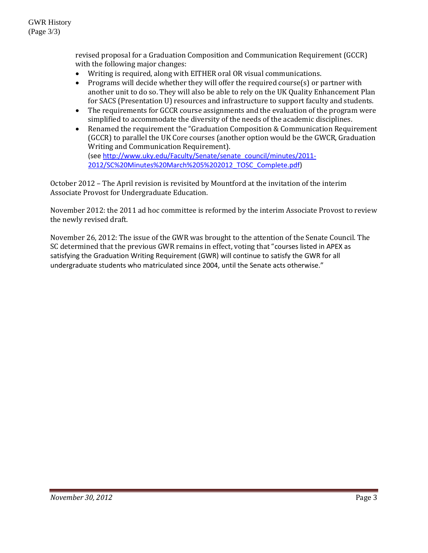revised proposal for a Graduation Composition and Communication Requirement (GCCR) with the following major changes:

- Writing is required, along with EITHER oral OR visual communications.
- Programs will decide whether they will offer the required course(s) or partner with another unit to do so. They will also be able to rely on the UK Quality Enhancement Plan for SACS (Presentation U) resources and infrastructure to support faculty and students.
- The requirements for GCCR course assignments and the evaluation of the program were simplified to accommodate the diversity of the needs of the academic disciplines.
- Renamed the requirement the "Graduation Composition & Communication Requirement" (GCCR) to parallel the UK Core courses (another option would be the GWCR, Graduation Writing and Communication Requirement). (see [http://www.uky.edu/Faculty/Senate/senate\\_council/minutes/2011-](http://www.uky.edu/Faculty/Senate/senate_council/minutes/2011-2012/SC%20Minutes%20March%205%202012_TOSC_Complete.pdf) [2012/SC%20Minutes%20March%205%202012\\_TOSC\\_Complete.pdf\)](http://www.uky.edu/Faculty/Senate/senate_council/minutes/2011-2012/SC%20Minutes%20March%205%202012_TOSC_Complete.pdf)

October 2012 – The April revision is revisited by Mountford at the invitation of the interim Associate Provost for Undergraduate Education.

November 2012: the 2011 ad hoc committee is reformed by the interim Associate Provost to review the newly revised draft.

November 26, 2012: The issue of the GWR was brought to the attention of the Senate Council. The SC determined that the previous GWR remains in effect, voting that "courses listed in APEX as satisfying the Graduation Writing Requirement (GWR) will continue to satisfy the GWR for all undergraduate students who matriculated since 2004, until the Senate acts otherwise."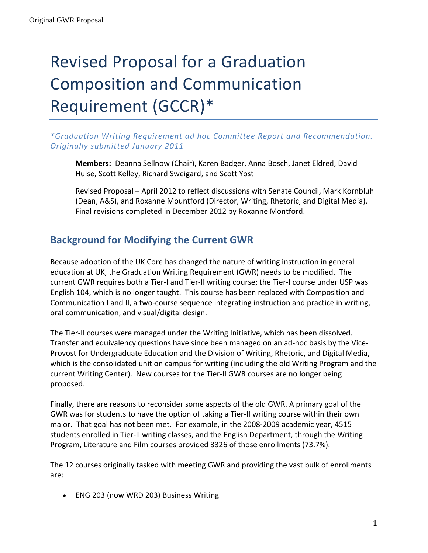# Revised Proposal for a Graduation Composition and Communication Requirement (GCCR)\*

# *\*Graduation Writing Requirement ad hoc Committee Report and Recommendation. Originally submitted January 2011*

**Members:** Deanna Sellnow (Chair), Karen Badger, Anna Bosch, Janet Eldred, David Hulse, Scott Kelley, Richard Sweigard, and Scott Yost

Revised Proposal – April 2012 to reflect discussions with Senate Council, Mark Kornbluh (Dean, A&S), and Roxanne Mountford (Director, Writing, Rhetoric, and Digital Media). Final revisions completed in December 2012 by Roxanne Montford.

# **Background for Modifying the Current GWR**

Because adoption of the UK Core has changed the nature of writing instruction in general education at UK, the Graduation Writing Requirement (GWR) needs to be modified. The current GWR requires both a Tier-I and Tier-II writing course; the Tier-I course under USP was English 104, which is no longer taught. This course has been replaced with Composition and Communication I and II, a two-course sequence integrating instruction and practice in writing, oral communication, and visual/digital design.

The Tier-II courses were managed under the Writing Initiative, which has been dissolved. Transfer and equivalency questions have since been managed on an ad-hoc basis by the Vice-Provost for Undergraduate Education and the Division of Writing, Rhetoric, and Digital Media, which is the consolidated unit on campus for writing (including the old Writing Program and the current Writing Center). New courses for the Tier-II GWR courses are no longer being proposed.

Finally, there are reasons to reconsider some aspects of the old GWR. A primary goal of the GWR was for students to have the option of taking a Tier-II writing course within their own major. That goal has not been met. For example, in the 2008-2009 academic year, 4515 students enrolled in Tier-II writing classes, and the English Department, through the Writing Program, Literature and Film courses provided 3326 of those enrollments (73.7%).

The 12 courses originally tasked with meeting GWR and providing the vast bulk of enrollments are:

• ENG 203 (now WRD 203) Business Writing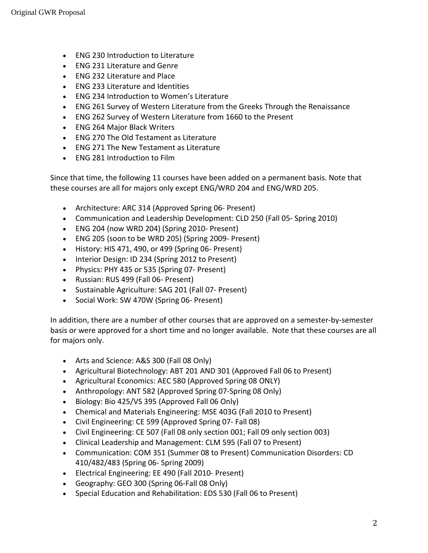- ENG 230 Introduction to Literature
- ENG 231 Literature and Genre
- ENG 232 Literature and Place
- ENG 233 Literature and Identities
- ENG 234 Introduction to Women's Literature
- ENG 261 Survey of Western Literature from the Greeks Through the Renaissance
- ENG 262 Survey of Western Literature from 1660 to the Present
- ENG 264 Major Black Writers
- ENG 270 The Old Testament as Literature
- ENG 271 The New Testament as Literature
- ENG 281 Introduction to Film

Since that time, the following 11 courses have been added on a permanent basis. Note that these courses are all for majors only except ENG/WRD 204 and ENG/WRD 205.

- Architecture: ARC 314 (Approved Spring 06- Present)
- Communication and Leadership Development: CLD 250 (Fall 05- Spring 2010)
- ENG 204 (now WRD 204) (Spring 2010- Present)
- ENG 205 (soon to be WRD 205) (Spring 2009- Present)
- History: HIS 471, 490, or 499 (Spring 06- Present)
- Interior Design: ID 234 (Spring 2012 to Present)
- Physics: PHY 435 or 535 (Spring 07- Present)
- Russian: RUS 499 (Fall 06- Present)
- Sustainable Agriculture: SAG 201 (Fall 07- Present)
- Social Work: SW 470W (Spring 06- Present)

In addition, there are a number of other courses that are approved on a semester-by-semester basis or were approved for a short time and no longer available. Note that these courses are all for majors only.

- Arts and Science: A&S 300 (Fall 08 Only)
- Agricultural Biotechnology: ABT 201 AND 301 (Approved Fall 06 to Present)
- Agricultural Economics: AEC 580 (Approved Spring 08 ONLY)
- Anthropology: ANT 582 (Approved Spring 07-Spring 08 Only)
- Biology: Bio 425/VS 395 (Approved Fall 06 Only)
- Chemical and Materials Engineering: MSE 403G (Fall 2010 to Present)
- Civil Engineering: CE 599 (Approved Spring 07- Fall 08)
- Civil Engineering: CE 507 (Fall 08 only section 001; Fall 09 only section 003)
- Clinical Leadership and Management: CLM 595 (Fall 07 to Present)
- Communication: COM 351 (Summer 08 to Present) Communication Disorders: CD 410/482/483 (Spring 06- Spring 2009)
- Electrical Engineering: EE 490 (Fall 2010- Present)
- Geography: GEO 300 (Spring 06-Fall 08 Only)
- Special Education and Rehabilitation: EDS 530 (Fall 06 to Present)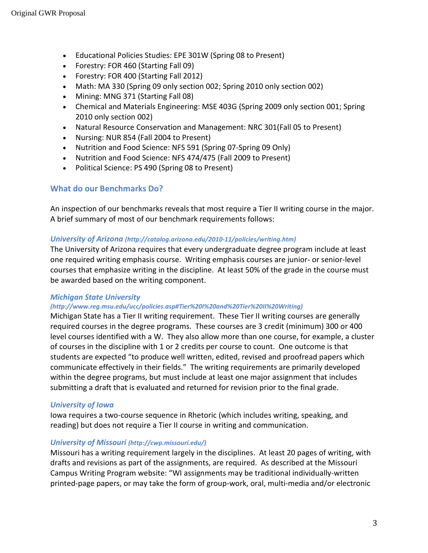- Educational Policies Studies: EPE 301W (Spring 08 to Present)
- Forestry: FOR 460 (Starting Fall 09)
- Forestry: FOR 400 (Starting Fall 2012)
- Math: MA 330 (Spring 09 only section 002; Spring 2010 only section 002)
- Mining: MNG 371 (Starting Fall 08)
- Chemical and Materials Engineering: MSE 403G (Spring 2009 only section 001; Spring 2010 only section 002)
- Natural Resource Conservation and Management: NRC 301(Fall 05 to Present)
- Nursing: NUR 854 (Fall 2004 to Present)
- Nutrition and Food Science: NFS 591 (Spring 07-Spring 09 Only)
- Nutrition and Food Science: NFS 474/475 (Fall 2009 to Present)
- Political Science: PS 490 (Spring 08 to Present)

## **What do our Benchmarks Do?**

An inspection of our benchmarks reveals that most require a Tier II writing course in the major. A brief summary of most of our benchmark requirements follows:

#### *University of Arizona (http://catalog.arizona.edu/2010-11/policies/writing.htm)*

The University of Arizona requires that every undergraduate degree program include at least one required writing emphasis course. Writing emphasis courses are junior- or senior-level courses that emphasize writing in the discipline. At least 50% of the grade in the course must be awarded based on the writing component.

#### *Michigan State University*

#### *(http://www.reg.msu.edu/ucc/policies.asp#Tier%20I%20and%20Tier%20II%20Writing)*

Michigan State has a Tier II writing requirement. These Tier II writing courses are generally required courses in the degree programs. These courses are 3 credit (minimum) 300 or 400 level courses identified with a W. They also allow more than one course, for example, a cluster of courses in the discipline with 1 or 2 credits per course to count. One outcome is that students are expected "to produce well written, edited, revised and proofread papers which communicate effectively in their fields." The writing requirements are primarily developed within the degree programs, but must include at least one major assignment that includes submitting a draft that is evaluated and returned for revision prior to the final grade.

#### *University of Iowa*

Iowa requires a two-course sequence in Rhetoric (which includes writing, speaking, and reading) but does not require a Tier II course in writing and communication.

#### *University of Missouri (http://cwp.missouri.edu/)*

Missouri has a writing requirement largely in the disciplines. At least 20 pages of writing, with drafts and revisions as part of the assignments, are required. As described at the Missouri Campus Writing Program website: "WI assignments may be traditional individually-written printed-page papers, or may take the form of group-work, oral, multi-media and/or electronic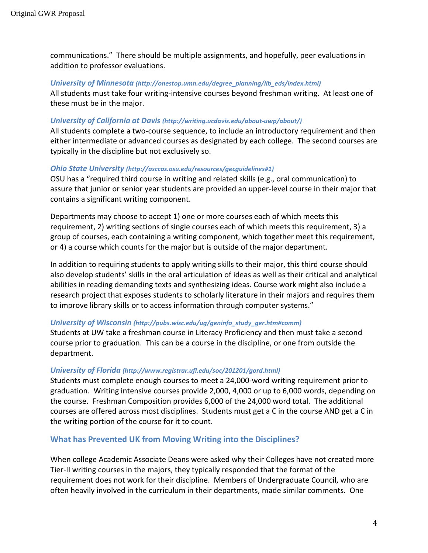communications." There should be multiple assignments, and hopefully, peer evaluations in addition to professor evaluations.

#### *University of Minnesota (http://onestop.umn.edu/degree\_planning/lib\_eds/index.html)*

All students must take four writing-intensive courses beyond freshman writing. At least one of these must be in the major.

#### *University of California at Davis (http://writing.ucdavis.edu/about-uwp/about/)*

All students complete a two-course sequence, to include an introductory requirement and then either intermediate or advanced courses as designated by each college. The second courses are typically in the discipline but not exclusively so.

#### *Ohio State University (http://asccas.osu.edu/resources/gecguidelines#1)*

OSU has a "required third course in writing and related skills (e.g., oral communication) to assure that junior or senior year students are provided an upper-level course in their major that contains a significant writing component.

Departments may choose to accept 1) one or more courses each of which meets this requirement, 2) writing sections of single courses each of which meets this requirement, 3) a group of courses, each containing a writing component, which together meet this requirement, or 4) a course which counts for the major but is outside of the major department.

In addition to requiring students to apply writing skills to their major, this third course should also develop students' skills in the oral articulation of ideas as well as their critical and analytical abilities in reading demanding texts and synthesizing ideas. Course work might also include a research project that exposes students to scholarly literature in their majors and requires them to improve library skills or to access information through computer systems."

#### *University of Wisconsin (http://pubs.wisc.edu/ug/geninfo\_study\_ger.htm#comm)*

Students at UW take a freshman course in Literacy Proficiency and then must take a second course prior to graduation. This can be a course in the discipline, or one from outside the department.

#### *University of Florida (http://www.registrar.ufl.edu/soc/201201/gord.html)*

Students must complete enough courses to meet a 24,000-word writing requirement prior to graduation. Writing intensive courses provide 2,000, 4,000 or up to 6,000 words, depending on the course. Freshman Composition provides 6,000 of the 24,000 word total. The additional courses are offered across most disciplines. Students must get a C in the course AND get a C in the writing portion of the course for it to count.

#### **What has Prevented UK from Moving Writing into the Disciplines?**

When college Academic Associate Deans were asked why their Colleges have not created more Tier-II writing courses in the majors, they typically responded that the format of the requirement does not work for their discipline. Members of Undergraduate Council, who are often heavily involved in the curriculum in their departments, made similar comments. One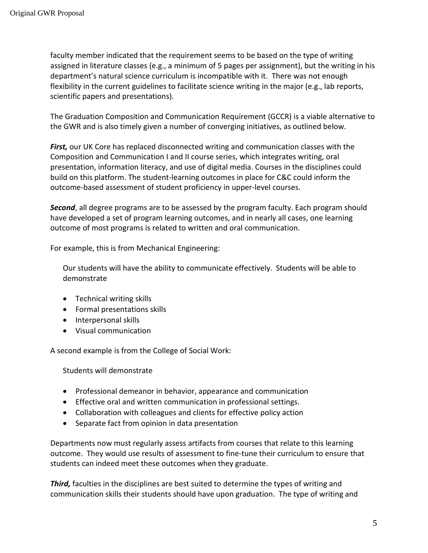faculty member indicated that the requirement seems to be based on the type of writing assigned in literature classes (e.g., a minimum of 5 pages per assignment), but the writing in his department's natural science curriculum is incompatible with it. There was not enough flexibility in the current guidelines to facilitate science writing in the major (e.g., lab reports, scientific papers and presentations).

The Graduation Composition and Communication Requirement (GCCR) is a viable alternative to the GWR and is also timely given a number of converging initiatives, as outlined below.

*First,* our UK Core has replaced disconnected writing and communication classes with the Composition and Communication I and II course series, which integrates writing, oral presentation, information literacy, and use of digital media. Courses in the disciplines could build on this platform. The student-learning outcomes in place for C&C could inform the outcome-based assessment of student proficiency in upper-level courses.

*Second*, all degree programs are to be assessed by the program faculty. Each program should have developed a set of program learning outcomes, and in nearly all cases, one learning outcome of most programs is related to written and oral communication.

For example, this is from Mechanical Engineering:

Our students will have the ability to communicate effectively. Students will be able to demonstrate

- Technical writing skills
- Formal presentations skills
- Interpersonal skills
- Visual communication

A second example is from the College of Social Work:

Students will demonstrate

- Professional demeanor in behavior, appearance and communication
- Effective oral and written communication in professional settings.
- Collaboration with colleagues and clients for effective policy action
- Separate fact from opinion in data presentation

Departments now must regularly assess artifacts from courses that relate to this learning outcome. They would use results of assessment to fine-tune their curriculum to ensure that students can indeed meet these outcomes when they graduate.

*Third,* faculties in the disciplines are best suited to determine the types of writing and communication skills their students should have upon graduation. The type of writing and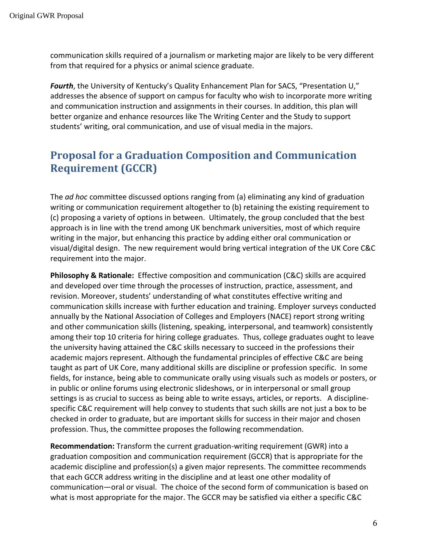communication skills required of a journalism or marketing major are likely to be very different from that required for a physics or animal science graduate.

*Fourth*, the University of Kentucky's Quality Enhancement Plan for SACS, "Presentation U," addresses the absence of support on campus for faculty who wish to incorporate more writing and communication instruction and assignments in their courses. In addition, this plan will better organize and enhance resources like The Writing Center and the Study to support students' writing, oral communication, and use of visual media in the majors.

# **Proposal for a Graduation Composition and Communication Requirement (GCCR)**

The *ad hoc* committee discussed options ranging from (a) eliminating any kind of graduation writing or communication requirement altogether to (b) retaining the existing requirement to (c) proposing a variety of options in between. Ultimately, the group concluded that the best approach is in line with the trend among UK benchmark universities, most of which require writing in the major, but enhancing this practice by adding either oral communication or visual/digital design. The new requirement would bring vertical integration of the UK Core C&C requirement into the major.

**Philosophy & Rationale:** Effective composition and communication (C&C) skills are acquired and developed over time through the processes of instruction, practice, assessment, and revision. Moreover, students' understanding of what constitutes effective writing and communication skills increase with further education and training. Employer surveys conducted annually by the National Association of Colleges and Employers (NACE) report strong writing and other communication skills (listening, speaking, interpersonal, and teamwork) consistently among their top 10 criteria for hiring college graduates. Thus, college graduates ought to leave the university having attained the C&C skills necessary to succeed in the professions their academic majors represent. Although the fundamental principles of effective C&C are being taught as part of UK Core, many additional skills are discipline or profession specific. In some fields, for instance, being able to communicate orally using visuals such as models or posters, or in public or online forums using electronic slideshows, or in interpersonal or small group settings is as crucial to success as being able to write essays, articles, or reports. A disciplinespecific C&C requirement will help convey to students that such skills are not just a box to be checked in order to graduate, but are important skills for success in their major and chosen profession. Thus, the committee proposes the following recommendation.

**Recommendation:** Transform the current graduation-writing requirement (GWR) into a graduation composition and communication requirement (GCCR) that is appropriate for the academic discipline and profession(s) a given major represents. The committee recommends that each GCCR address writing in the discipline and at least one other modality of communication—oral or visual. The choice of the second form of communication is based on what is most appropriate for the major. The GCCR may be satisfied via either a specific C&C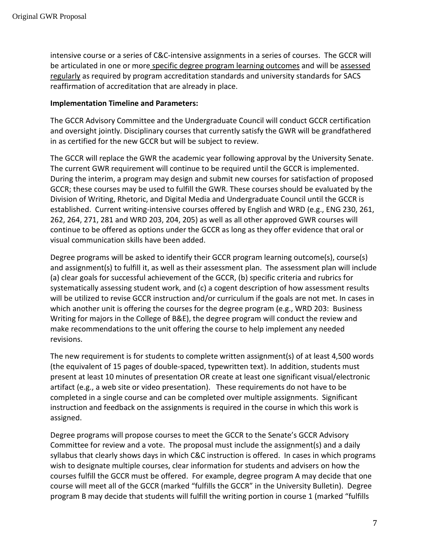intensive course or a series of C&C-intensive assignments in a series of courses. The GCCR will be articulated in one or more specific degree program learning outcomes and will be assessed regularly as required by program accreditation standards and university standards for SACS reaffirmation of accreditation that are already in place.

#### **Implementation Timeline and Parameters:**

The GCCR Advisory Committee and the Undergraduate Council will conduct GCCR certification and oversight jointly. Disciplinary courses that currently satisfy the GWR will be grandfathered in as certified for the new GCCR but will be subject to review.

The GCCR will replace the GWR the academic year following approval by the University Senate. The current GWR requirement will continue to be required until the GCCR is implemented. During the interim, a program may design and submit new courses for satisfaction of proposed GCCR; these courses may be used to fulfill the GWR. These courses should be evaluated by the Division of Writing, Rhetoric, and Digital Media and Undergraduate Council until the GCCR is established. Current writing-intensive courses offered by English and WRD (e.g., ENG 230, 261, 262, 264, 271, 281 and WRD 203, 204, 205) as well as all other approved GWR courses will continue to be offered as options under the GCCR as long as they offer evidence that oral or visual communication skills have been added.

Degree programs will be asked to identify their GCCR program learning outcome(s), course(s) and assignment(s) to fulfill it, as well as their assessment plan. The assessment plan will include (a) clear goals for successful achievement of the GCCR, (b) specific criteria and rubrics for systematically assessing student work, and (c) a cogent description of how assessment results will be utilized to revise GCCR instruction and/or curriculum if the goals are not met. In cases in which another unit is offering the courses for the degree program (e.g., WRD 203: Business Writing for majors in the College of B&E), the degree program will conduct the review and make recommendations to the unit offering the course to help implement any needed revisions.

The new requirement is for students to complete written assignment(s) of at least 4,500 words (the equivalent of 15 pages of double-spaced, typewritten text). In addition, students must present at least 10 minutes of presentation OR create at least one significant visual/electronic artifact (e.g., a web site or video presentation). These requirements do not have to be completed in a single course and can be completed over multiple assignments. Significant instruction and feedback on the assignments is required in the course in which this work is assigned.

Degree programs will propose courses to meet the GCCR to the Senate's GCCR Advisory Committee for review and a vote. The proposal must include the assignment(s) and a daily syllabus that clearly shows days in which C&C instruction is offered. In cases in which programs wish to designate multiple courses, clear information for students and advisers on how the courses fulfill the GCCR must be offered. For example, degree program A may decide that one course will meet all of the GCCR (marked "fulfills the GCCR" in the University Bulletin). Degree program B may decide that students will fulfill the writing portion in course 1 (marked "fulfills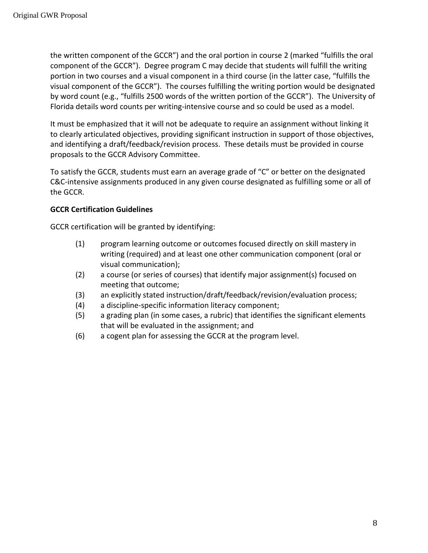the written component of the GCCR") and the oral portion in course 2 (marked "fulfills the oral component of the GCCR"). Degree program C may decide that students will fulfill the writing portion in two courses and a visual component in a third course (in the latter case, "fulfills the visual component of the GCCR"). The courses fulfilling the writing portion would be designated by word count (e.g., "fulfills 2500 words of the written portion of the GCCR"). The University of Florida details word counts per writing-intensive course and so could be used as a model.

It must be emphasized that it will not be adequate to require an assignment without linking it to clearly articulated objectives, providing significant instruction in support of those objectives, and identifying a draft/feedback/revision process. These details must be provided in course proposals to the GCCR Advisory Committee.

To satisfy the GCCR, students must earn an average grade of "C" or better on the designated C&C-intensive assignments produced in any given course designated as fulfilling some or all of the GCCR.

## **GCCR Certification Guidelines**

GCCR certification will be granted by identifying:

- (1) program learning outcome or outcomes focused directly on skill mastery in writing (required) and at least one other communication component (oral or visual communication);
- (2) a course (or series of courses) that identify major assignment(s) focused on meeting that outcome;
- (3) an explicitly stated instruction/draft/feedback/revision/evaluation process;
- (4) a discipline-specific information literacy component;
- (5) a grading plan (in some cases, a rubric) that identifies the significant elements that will be evaluated in the assignment; and
- (6) a cogent plan for assessing the GCCR at the program level.